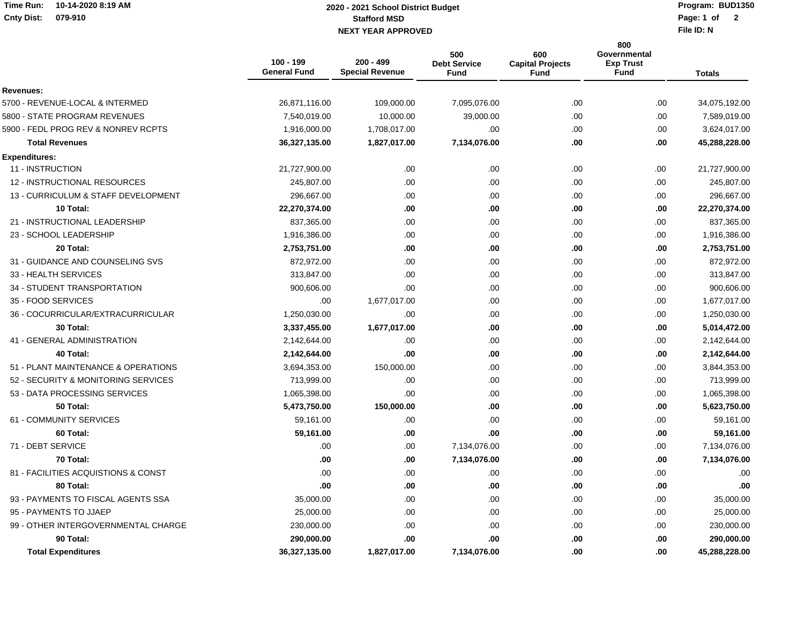## **Time Run: 10-14-2020 8:19 AMCnty Dist: 079-910**

## **Stafford MSD NEXT YEAR APPROVED Page: 1 of 2020 - 2021 School District Budget**

**Program: BUD1350**Page: 1 of 2

**File ID: N**

|                                     | 100 - 199<br><b>General Fund</b> | $200 - 499$<br><b>Special Revenue</b> | 500<br><b>Debt Service</b><br><b>Fund</b> | 600<br><b>Capital Projects</b><br><b>Fund</b> | 800<br>Governmental<br><b>Exp Trust</b><br><b>Fund</b> | <b>Totals</b> |
|-------------------------------------|----------------------------------|---------------------------------------|-------------------------------------------|-----------------------------------------------|--------------------------------------------------------|---------------|
| Revenues:                           |                                  |                                       |                                           |                                               |                                                        |               |
| 5700 - REVENUE-LOCAL & INTERMED     | 26,871,116.00                    | 109,000.00                            | 7,095,076.00                              | .00.                                          | .00.                                                   | 34,075,192.00 |
| 5800 - STATE PROGRAM REVENUES       | 7,540,019.00                     | 10,000.00                             | 39,000.00                                 | .00                                           | .00                                                    | 7,589,019.00  |
| 5900 - FEDL PROG REV & NONREV RCPTS | 1,916,000.00                     | 1,708,017.00                          | .00                                       | .00.                                          | .00                                                    | 3,624,017.00  |
| <b>Total Revenues</b>               | 36,327,135.00                    | 1,827,017.00                          | 7,134,076.00                              | .00                                           | .00                                                    | 45,288,228.00 |
| <b>Expenditures:</b>                |                                  |                                       |                                           |                                               |                                                        |               |
| 11 - INSTRUCTION                    | 21,727,900.00                    | .00                                   | .00                                       | .00                                           | .00                                                    | 21,727,900.00 |
| 12 - INSTRUCTIONAL RESOURCES        | 245,807.00                       | .00                                   | .00                                       | .00                                           | .00                                                    | 245,807.00    |
| 13 - CURRICULUM & STAFF DEVELOPMENT | 296,667.00                       | .00                                   | .00                                       | .00                                           | .00                                                    | 296,667.00    |
| 10 Total:                           | 22,270,374.00                    | .00                                   | .00                                       | .00                                           | .00                                                    | 22,270,374.00 |
| 21 - INSTRUCTIONAL LEADERSHIP       | 837,365.00                       | .00                                   | .00                                       | .00                                           | .00                                                    | 837,365.00    |
| 23 - SCHOOL LEADERSHIP              | 1,916,386.00                     | .00                                   | .00                                       | .00                                           | .00.                                                   | 1,916,386.00  |
| 20 Total:                           | 2,753,751.00                     | .00                                   | .00                                       | .00                                           | .00                                                    | 2,753,751.00  |
| 31 - GUIDANCE AND COUNSELING SVS    | 872,972.00                       | .00                                   | .00                                       | .00                                           | .00                                                    | 872,972.00    |
| 33 - HEALTH SERVICES                | 313,847.00                       | .00                                   | .00                                       | .00                                           | .00                                                    | 313,847.00    |
| 34 - STUDENT TRANSPORTATION         | 900,606.00                       | .00                                   | .00                                       | .00                                           | .00.                                                   | 900,606.00    |
| 35 - FOOD SERVICES                  | .00                              | 1,677,017.00                          | .00                                       | .00                                           | .00                                                    | 1,677,017.00  |
| 36 - COCURRICULAR/EXTRACURRICULAR   | 1,250,030.00                     | .00                                   | .00                                       | .00                                           | .00                                                    | 1,250,030.00  |
| 30 Total:                           | 3,337,455.00                     | 1,677,017.00                          | .00                                       | .00                                           | .00                                                    | 5,014,472.00  |
| 41 - GENERAL ADMINISTRATION         | 2,142,644.00                     | .00                                   | .00                                       | .00                                           | .00                                                    | 2,142,644.00  |
| 40 Total:                           | 2,142,644.00                     | .00                                   | .00                                       | .00                                           | .00                                                    | 2,142,644.00  |
| 51 - PLANT MAINTENANCE & OPERATIONS | 3,694,353.00                     | 150,000.00                            | .00                                       | .00                                           | .00                                                    | 3,844,353.00  |
| 52 - SECURITY & MONITORING SERVICES | 713,999.00                       | .00                                   | .00                                       | .00.                                          | .00.                                                   | 713,999.00    |
| 53 - DATA PROCESSING SERVICES       | 1,065,398.00                     | .00                                   | .00                                       | .00                                           | .00.                                                   | 1,065,398.00  |
| 50 Total:                           | 5,473,750.00                     | 150,000.00                            | .00                                       | .00                                           | .00                                                    | 5,623,750.00  |
| 61 - COMMUNITY SERVICES             | 59,161.00                        | .00                                   | .00                                       | .00                                           | .00.                                                   | 59,161.00     |
| 60 Total:                           | 59,161.00                        | .00                                   | .00                                       | .00                                           | .00.                                                   | 59,161.00     |
| 71 - DEBT SERVICE                   | .00                              | .00                                   | 7,134,076.00                              | .00                                           | .00                                                    | 7,134,076.00  |
| 70 Total:                           | .00                              | .00                                   | 7,134,076.00                              | .00                                           | .00                                                    | 7,134,076.00  |
| 81 - FACILITIES ACQUISTIONS & CONST | .00                              | .00                                   | .00                                       | .00                                           | .00                                                    | .00           |
| 80 Total:                           | .00                              | .00                                   | .00                                       | .00                                           | .00                                                    | .00           |
| 93 - PAYMENTS TO FISCAL AGENTS SSA  | 35,000.00                        | .00                                   | .00                                       | .00                                           | .00                                                    | 35,000.00     |
| 95 - PAYMENTS TO JJAEP              | 25,000.00                        | .00                                   | .00                                       | .00                                           | .00.                                                   | 25,000.00     |
| 99 - OTHER INTERGOVERNMENTAL CHARGE | 230,000.00                       | .00                                   | .00                                       | .00                                           | .00                                                    | 230,000.00    |
| 90 Total:                           | 290,000.00                       | .00                                   | .00                                       | .00                                           | .00                                                    | 290,000.00    |
| <b>Total Expenditures</b>           | 36,327,135.00                    | 1,827,017.00                          | 7,134,076.00                              | .00                                           | .00                                                    | 45,288,228.00 |